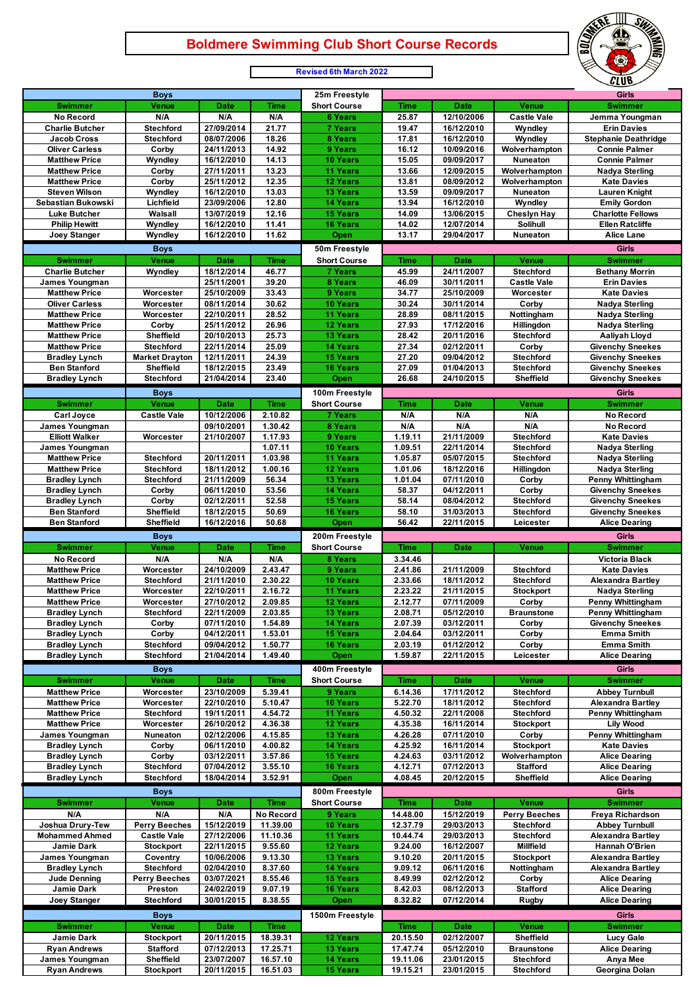## **Boldmere Swimming Club Short Course Records**

ERE



|                                               |                                      |                           |                         | <b>Revised oth March 2022</b>      |                      |                           |                                   | CLUB                                               |
|-----------------------------------------------|--------------------------------------|---------------------------|-------------------------|------------------------------------|----------------------|---------------------------|-----------------------------------|----------------------------------------------------|
|                                               | <b>Boys</b>                          |                           |                         | 25m Freestyle                      |                      |                           |                                   | <b>Girls</b>                                       |
| <b>Swimmer</b>                                | Venue                                | <b>Date</b>               | <b>Time</b>             | <b>Short Course</b>                | <b>Time</b>          | <b>Date</b>               | Venue                             | <b>Swimmer</b>                                     |
| No Record                                     | N/A                                  | N/A                       | N/A                     | <b>6 Years</b>                     | 25.87                | 12/10/2006                | <b>Castle Vale</b>                | Jemma Youngman                                     |
| <b>Charlie Butcher</b><br><b>Jacob Cross</b>  | <b>Stechford</b><br><b>Stechford</b> | 27/09/2014<br>08/07/2006  | 21.77<br>18.26          | <b>7 Years</b><br>8 Years          | 19.47<br>17.81       | 16/12/2010<br>16/12/2010  | Wyndley<br>Wyndley                | <b>Erin Davies</b><br><b>Stephanie Deathridge</b>  |
| <b>Oliver Carless</b>                         | Corby                                | 24/11/2013                | 14.92                   | 9 Years                            | 16.12                | 10/09/2016                | Wolverhampton                     | <b>Connie Palmer</b>                               |
| <b>Matthew Price</b>                          | Wyndley                              | 16/12/2010                | 14.13                   | 10 Years                           | 15.05                | 09/09/2017                | Nuneaton                          | <b>Connie Palmer</b>                               |
| <b>Matthew Price</b>                          | Corby                                | 27/11/2011                | 13.23                   | 11 Years                           | 13.66                | 12/09/2015                | Wolverhampton                     | <b>Nadya Sterling</b>                              |
| <b>Matthew Price</b>                          | Corby                                | 25/11/2012                | 12.35                   | 12 Years                           | 13.81                | 08/09/2012                | Wolverhampton                     | <b>Kate Davies</b>                                 |
| <b>Steven Wilson</b><br>Sebastian Bukowski    | Wyndley                              | 16/12/2010                | 13.03                   | <b>13 Years</b>                    | 13.59                | 09/09/2017                | Nuneaton                          | <b>Lauren Knight</b>                               |
| <b>Luke Butcher</b>                           | Lichfield<br>Walsall                 | 23/09/2006<br>13/07/2019  | 12.80<br>12.16          | <b>14 Years</b><br><b>15 Years</b> | 13.94<br>14.09       | 16/12/2010<br>13/06/2015  | Wyndley<br><b>Cheslyn Hay</b>     | <b>Emily Gordon</b><br><b>Charlotte Fellows</b>    |
| <b>Philip Hewitt</b>                          | Wyndley                              | 16/12/2010                | 11.41                   | <b>16 Years</b>                    | 14.02                | 12/07/2014                | Solihull                          | <b>Ellen Ratcliffe</b>                             |
| Joey Stanger                                  | Wyndley                              | 16/12/2010                | 11.62                   | Open                               | 13.17                | 29/04/2017                | Nuneaton                          | <b>Alice Lane</b>                                  |
|                                               | <b>Boys</b>                          |                           |                         | 50m Freestyle                      |                      |                           |                                   | Girls                                              |
| <b>Swimmer</b>                                | Venue                                | <b>Date</b>               | <b>Time</b>             | <b>Short Course</b>                | <b>Time</b>          | <b>Date</b>               | Venue                             | <b>Swimmer</b>                                     |
| <b>Charlie Butcher</b>                        | Wyndley                              | 18/12/2014                | 46.77                   | <b>7 Years</b>                     | 45.99                | 24/11/2007                | <b>Stechford</b>                  | <b>Bethany Morrin</b>                              |
| James Youngman                                |                                      | 25/11/2001                | 39.20                   | 8 Years                            | 46.09                | 30/11/2011                | <b>Castle Vale</b>                | <b>Erin Davies</b>                                 |
| <b>Matthew Price</b>                          | Worcester                            | 25/10/2009                | 33.43                   | 9 Years                            | 34.77                | 25/10/2009                | Worcester                         | <b>Kate Davies</b>                                 |
| <b>Oliver Carless</b><br><b>Matthew Price</b> | Worcester<br>Worcester               | 08/11/2014<br>22/10/2011  | 30.62<br>28.52          | 10 Years<br>11 Years               | 30.24<br>28.89       | 30/11/2014<br>08/11/2015  | Corby<br>Nottingham               | <b>Nadya Sterling</b><br><b>Nadya Sterling</b>     |
| <b>Matthew Price</b>                          | Corby                                | 25/11/2012                | 26.96                   | 12 Years                           | 27.93                | 17/12/2016                | Hillingdon                        | <b>Nadya Sterling</b>                              |
| <b>Matthew Price</b>                          | <b>Sheffield</b>                     | 20/10/2013                | 25.73                   | <b>13 Years</b>                    | 28.42                | 20/11/2016                | <b>Stechford</b>                  | Aaliyah Lloyd                                      |
| <b>Matthew Price</b>                          | <b>Stechford</b>                     | 22/11/2014                | 25.09                   | <b>14 Years</b>                    | 27.34                | 02/12/2011                | Corby                             | <b>Givenchy Sneekes</b>                            |
| <b>Bradley Lynch</b>                          | <b>Market Drayton</b>                | 12/11/2011                | 24.39                   | <b>15 Years</b>                    | 27.20                | 09/04/2012                | <b>Stechford</b>                  | <b>Givenchy Sneekes</b>                            |
| <b>Ben Stanford</b>                           | Sheffield                            | 18/12/2015                | 23.49                   | <b>16 Years</b>                    | 27.09                | 01/04/2013                | Stechford                         | <b>Givenchy Sneekes</b>                            |
| <b>Bradley Lynch</b>                          | <b>Stechford</b>                     | 21/04/2014                | 23.40                   | Open                               | 26.68                | 24/10/2015                | Sheffield                         | <b>Givenchy Sneekes</b>                            |
|                                               | <b>Boys</b>                          |                           |                         | 100m Freestyle                     |                      |                           |                                   | Girls                                              |
| <b>Swimmer</b>                                | Venue                                | <b>Date</b>               | <b>Time</b>             | <b>Short Course</b>                | <b>Time</b>          | <b>Date</b>               | Venue                             | <b>Swimmer</b>                                     |
| Carl Joyce<br>James Youngman                  | <b>Castle Vale</b>                   | 10/12/2006<br>09/10/2001  | 2.10.82<br>1.30.42      | <b>7 Years</b><br>8 Years          | N/A<br>N/A           | N/A<br>N/A                | N/A<br>N/A                        | <b>No Record</b><br>No Record                      |
| <b>Elliott Walker</b>                         | Worcester                            | 21/10/2007                | 1.17.93                 | 9 Years                            | 1.19.11              | 21/11/2009                | <b>Stechford</b>                  | <b>Kate Davies</b>                                 |
| James Youngman                                |                                      |                           | 1.07.11                 | 10 Years                           | 1.09.51              | 22/11/2014                | <b>Stechford</b>                  | Nadya Sterling                                     |
| <b>Matthew Price</b>                          | <b>Stechford</b>                     | 20/11/2011                | 1.03.98                 | 11 Years                           | 1.05.87              | 05/07/2015                | <b>Stechford</b>                  | Nadya Sterling                                     |
| <b>Matthew Price</b>                          | <b>Stechford</b>                     | 18/11/2012                | 1.00.16                 | 12 Years                           | 1.01.06              | 18/12/2016                | <b>Hillingdon</b>                 | Nadya Sterling                                     |
| <b>Bradley Lynch</b>                          | <b>Stechford</b>                     | 21/11/2009                | 56.34                   | 13 Years                           | 1.01.04              | 07/11/2010                | Corby                             | Penny Whittingham                                  |
| <b>Bradley Lynch</b><br><b>Bradley Lynch</b>  | Corby<br>Corby                       | 06/11/2010<br>02/12/2011  | 53.56<br>52.58          | <b>14 Years</b><br><b>15 Years</b> | 58.37<br>58.14       | 04/12/2011<br>08/04/2012  | Corby<br><b>Stechford</b>         | <b>Givenchy Sneekes</b><br><b>Givenchy Sneekes</b> |
| <b>Ben Stanford</b>                           | Sheffield                            | 18/12/2015                | 50.69                   | <b>16 Years</b>                    | 58.10                | 31/03/2013                | <b>Stechford</b>                  | <b>Givenchy Sneekes</b>                            |
| <b>Ben Stanford</b>                           | Sheffield                            | 16/12/2016                | 50.68                   | Open                               | 56.42                | 22/11/2015                | Leicester                         | <b>Alice Dearing</b>                               |
|                                               |                                      |                           |                         |                                    |                      |                           |                                   |                                                    |
|                                               |                                      |                           |                         | 200m Freestyle                     |                      |                           |                                   | <b>Girls</b>                                       |
| <b>Swimmer</b>                                | <b>Boys</b><br>Venue                 | <b>Date</b>               | <b>Time</b>             | <b>Short Course</b>                | <b>Time</b>          | <b>Date</b>               | Venue                             | <b>Swimmer</b>                                     |
| No Record                                     | N/A                                  | N/A                       | N/A                     | 8 Years                            | 3.34.46              |                           |                                   | <b>Victoria Black</b>                              |
| <b>Matthew Price</b>                          | Worcester                            | 24/10/2009                | 2.43.47                 | 9 Years                            | 2.41.86              | 21/11/2009                | <b>Stechford</b>                  | <b>Kate Davies</b>                                 |
| <b>Matthew Price</b>                          | <b>Stechford</b>                     | 21/11/2010                | 2.30.22                 | <b>10 Years</b>                    | 2.33.66              | 18/11/2012                | <b>Stechford</b>                  | <b>Alexandra Bartlev</b>                           |
| <b>Matthew Price</b>                          | Worcester                            | 22/10/2011                | 2.16.72                 | 11 Years                           | 2.23.22              | 21/11/2015                | <b>Stockport</b>                  | <b>Nadya Sterling</b>                              |
| <b>Matthew Price</b>                          | Worcester                            | 27/10/2012                | 2.09.85                 | <b>12 Years</b>                    | 2.12.77              | 07/11/2009<br>05/12/2010  | Corby                             | Penny Whittingham                                  |
| <b>Bradley Lynch</b><br><b>Bradley Lynch</b>  | <b>Stechford</b><br>Corby            | 22/11/2009<br>07/11/2010  | 2.03.85<br>1.54.89      | 13 Years<br><b>14 Years</b>        | 2.08.71<br>2.07.39   | 03/12/2011                | <b>Braunstone</b><br>Corby        | Penny Whittingham<br><b>Givenchy Sneekes</b>       |
| <b>Bradley Lynch</b>                          | Corby                                | 04/12/2011                | 1.53.01                 | 15 Years                           | 2.04.64              | 03/12/2011                | Corby                             | Emma Smith                                         |
| <b>Bradley Lynch</b>                          | <b>Stechford</b>                     | 09/04/2012                | 1.50.77                 | <b>16 Years</b>                    | 2.03.19              | 01/12/2012                | Corby                             | Emma Smith                                         |
| <b>Bradley Lynch</b>                          | <b>Stechford</b>                     | 21/04/2014                | 1.49.40                 | Open                               | 1.59.87              | 22/11/2015                | Leicester                         | <b>Alice Dearing</b>                               |
|                                               | <b>Boys</b>                          |                           |                         | 400m Freestyle                     |                      |                           |                                   | <b>Girls</b>                                       |
| <b>Swimmer</b>                                | Venue                                | <b>Date</b>               | <b>Time</b>             | <b>Short Course</b>                | <b>Time</b>          | <b>Date</b>               | Venue                             | <b>Swimmer</b>                                     |
| <b>Matthew Price</b>                          | Worcester                            | 23/10/2009                | 5.39.41                 | 9 Years                            | 6.14.36              | 17/11/2012                | <b>Stechford</b>                  | <b>Abbey Turnbull</b>                              |
| <b>Matthew Price</b><br><b>Matthew Price</b>  | Worcester<br><b>Stechford</b>        | 22/10/2010                | 5.10.47                 | 10 Years                           | 5.22.70<br>4.50.32   | 18/11/2012                | <b>Stechford</b>                  | <b>Alexandra Bartley</b>                           |
| <b>Matthew Price</b>                          | Worcester                            | 19/11/2011<br>26/10/2012  | 4.54.72<br>4.36.38      | 11 Years<br>12 Years               | 4.35.38              | 22/11/2008<br>16/11/2014  | Stechford<br><b>Stockport</b>     | Penny Whittingham<br><b>Lily Wood</b>              |
| James Youngman                                | Nuneaton                             | 02/12/2006                | 4.15.85                 | <b>13 Years</b>                    | 4.26.28              | 07/11/2010                | Corby                             | <b>Penny Whittingham</b>                           |
| <b>Bradley Lynch</b>                          | Corby                                | 06/11/2010                | 4.00.82                 | <b>14 Years</b>                    | 4.25.92              | 16/11/2014                | <b>Stockport</b>                  | <b>Kate Davies</b>                                 |
| <b>Bradley Lynch</b>                          | Corby                                | 03/12/2011                | 3.57.86                 | <b>15 Years</b>                    | 4.24.63              | 03/11/2012                | Wolverhampton                     | <b>Alice Dearing</b>                               |
| <b>Bradley Lynch</b>                          | <b>Stechford</b>                     | 07/04/2012                | 3.55.10                 | <b>16 Years</b>                    | 4.12.71              | 07/12/2013                | <b>Stafford</b>                   | <b>Alice Dearing</b>                               |
| <b>Bradley Lynch</b>                          | <b>Stechford</b>                     | 18/04/2014                | 3.52.91                 | Open                               | 4.08.45              | 20/12/2015                | Sheffield                         | <b>Alice Dearing</b>                               |
|                                               | <b>Boys</b>                          |                           |                         | 800m Freestyle                     |                      |                           |                                   | Girls                                              |
| <b>Swimmer</b>                                | Venue                                | <b>Date</b>               | <b>Time</b>             | <b>Short Course</b>                | <b>Time</b>          | <b>Date</b>               | Venue                             | <b>Swimmer</b>                                     |
| N/A<br>Joshua Drury-Tew                       | N/A<br><b>Perry Beeches</b>          | N/A<br>15/12/2019         | No Record<br>11.39.00   | 9 Years<br>10 Years                | 14.48.00<br>12.37.79 | 15/12/2019<br>29/03/2013  | <b>Perry Beeches</b><br>Stechford | Freya Richardson<br><b>Abbey Turnbull</b>          |
| <b>Mohammed Ahmed</b>                         | <b>Castle Vale</b>                   | 27/12/2006                | 11.10.36                | 11 Years                           | 10.44.74             | 29/03/2013                | Stechford                         | <b>Alexandra Bartley</b>                           |
| Jamie Dark                                    | <b>Stockport</b>                     | 22/11/2015                | 9.55.60                 | 12 Years                           | 9.24.00              | 16/12/2007                | <b>Millfield</b>                  | Hannah O'Brien                                     |
| James Youngman                                | Coventry                             | 10/06/2006                | 9.13.30                 | <b>13 Years</b>                    | 9.10.20              | 20/11/2015                | <b>Stockport</b>                  | <b>Alexandra Bartley</b>                           |
| <b>Bradley Lynch</b>                          | Stechford                            | 02/04/2010                | 8.37.60                 | <b>14 Years</b>                    | 9.09.12              | 06/11/2016                | Nottingham                        | <b>Alexandra Bartley</b>                           |
| <b>Jude Denning</b>                           | <b>Perry Beeches</b>                 | 03/07/2021                | 8.55.46                 | 15 Years                           | 8.49.99              | 02/12/2012                | Corby                             | <b>Alice Dearing</b>                               |
| Jamie Dark                                    | Preston<br><b>Stechford</b>          | 24/02/2019<br>30/01/2015  | 9.07.19                 | <b>16 Years</b>                    | 8.42.03<br>8.32.82   | 08/12/2013<br>07/12/2014  | <b>Stafford</b>                   | <b>Alice Dearing</b>                               |
| <b>Joey Stanger</b>                           |                                      |                           | 8.38.55                 | Open                               |                      |                           | <b>Rugby</b>                      | <b>Alice Dearing</b>                               |
|                                               | <b>Boys</b>                          |                           |                         | 1500m Freestyle                    |                      |                           |                                   | <b>Girls</b>                                       |
| <b>Swimmer</b><br>Jamie Dark                  | Venue<br><b>Stockport</b>            | <b>Date</b><br>20/11/2015 | <b>Time</b><br>18.39.31 | 12 Years                           | Time<br>20.15.50     | <b>Date</b><br>02/12/2007 | Venue<br>Sheffield                | <b>Swimmer</b><br><b>Lucy Gale</b>                 |
| <b>Ryan Andrews</b>                           | <b>Stafford</b>                      | 07/12/2013                | 17.25.71                | 13 Years                           | 17.47.74             | 05/12/2010                | <b>Braunstone</b>                 | <b>Alice Dearing</b>                               |
| James Youngman<br><b>Ryan Andrews</b>         | Sheffield<br><b>Stockport</b>        | 23/07/2007<br>20/11/2015  | 16.57.10<br>16.51.03    | 14 Years<br>15 Years               | 19.11.06<br>19.15.21 | 23/01/2015<br>23/01/2015  | Stechford<br>Stechford            | Anya Mee<br>Georgina Dolan                         |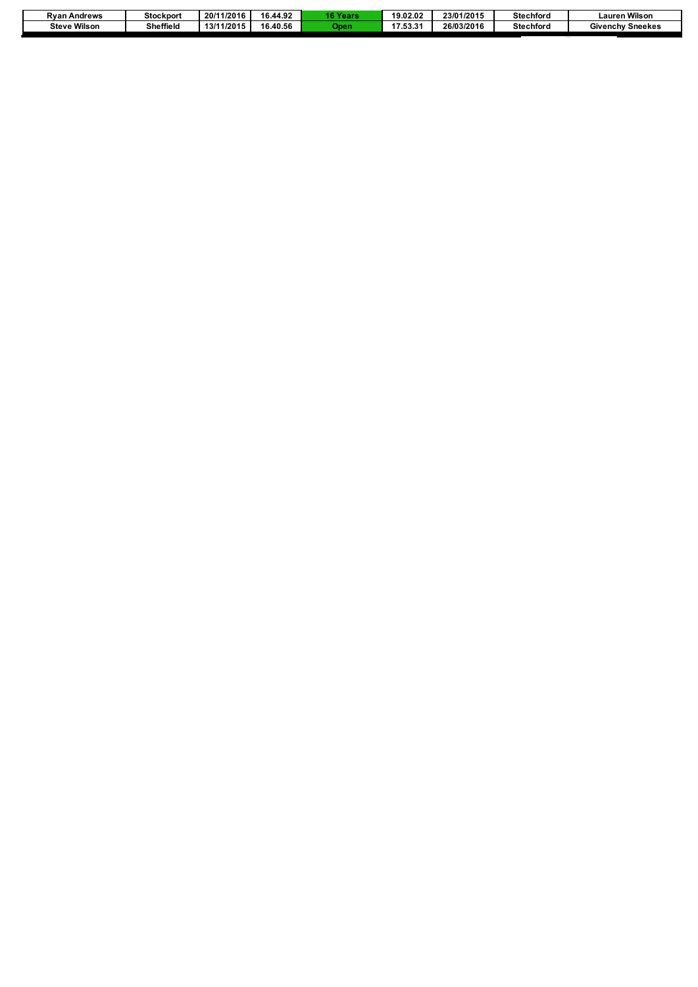| Rvan<br>Andrews        | <b>Stockport</b> | 1/2016<br>20/1 | 16.44.92 | <b>16 Years</b> | 19.02.02      | 23/01/2015 | <b>Stechford</b> | າ Wilsor<br>_auren '    |
|------------------------|------------------|----------------|----------|-----------------|---------------|------------|------------------|-------------------------|
| Wilson<br><b>Steve</b> | Sheffield        | 3/11/2015      | 16.40.56 | <b>Dper</b>     | 47 E2 24<br>. | 26/03/2016 | <b>Stechford</b> | <b>Givenchy Sneekes</b> |
|                        |                  |                |          |                 |               |            |                  |                         |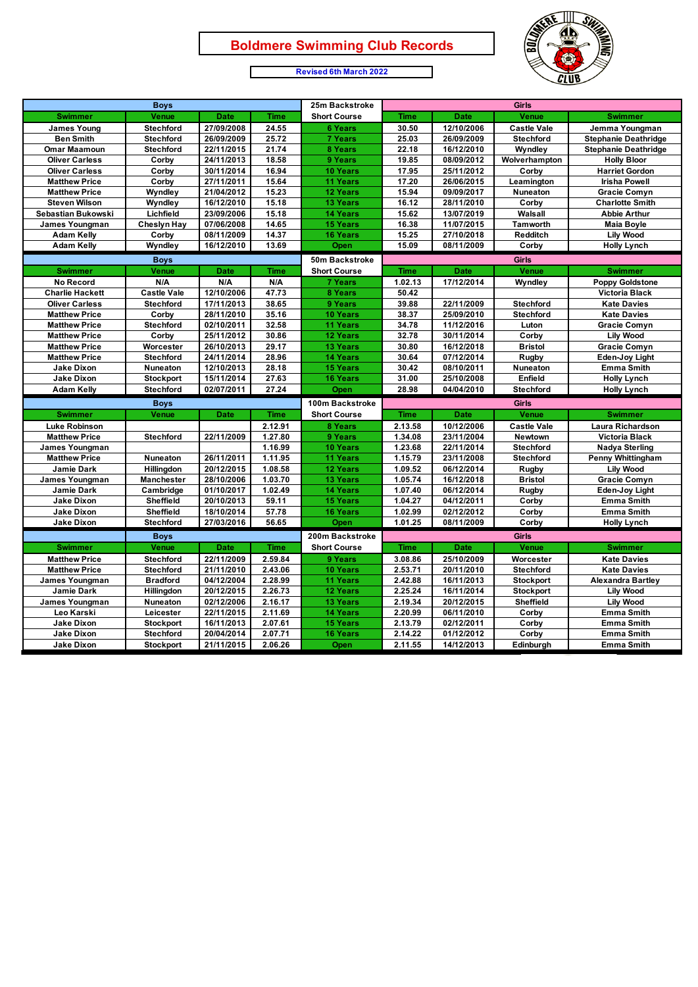Г



#### **Revised 6th March 2022**

| <b>Boys</b>            |                    |             |             | 25m Backstroke      | Girls       |             |                    |                             |
|------------------------|--------------------|-------------|-------------|---------------------|-------------|-------------|--------------------|-----------------------------|
| <b>Swimmer</b>         | Venue              | <b>Date</b> | <b>Time</b> | <b>Short Course</b> | <b>Time</b> | <b>Date</b> | Venue              | <b>Swimmer</b>              |
| <b>James Young</b>     | <b>Stechford</b>   | 27/09/2008  | 24.55       | <b>6 Years</b>      | 30.50       | 12/10/2006  | <b>Castle Vale</b> | Jemma Youngman              |
| <b>Ben Smith</b>       | <b>Stechford</b>   | 26/09/2009  | 25.72       | <b>7 Years</b>      | 25.03       | 26/09/2009  | <b>Stechford</b>   | <b>Stephanie Deathridge</b> |
| <b>Omar Maamoun</b>    | <b>Stechford</b>   | 22/11/2015  | 21.74       | 8 Years             | 22.18       | 16/12/2010  | Wyndley            | <b>Stephanie Deathridge</b> |
| <b>Oliver Carless</b>  | Corby              | 24/11/2013  | 18.58       | 9 Years             | 19.85       | 08/09/2012  | Wolverhampton      | <b>Holly Bloor</b>          |
| <b>Oliver Carless</b>  | Corby              | 30/11/2014  | 16.94       | <b>10 Years</b>     | 17.95       | 25/11/2012  | Corby              | <b>Harriet Gordon</b>       |
| <b>Matthew Price</b>   | Corby              | 27/11/2011  | 15.64       | 11 Years            | 17.20       | 26/06/2015  | Leamington         | <b>Irisha Powell</b>        |
| <b>Matthew Price</b>   | Wyndley            | 21/04/2012  | 15.23       | 12 Years            | 15.94       | 09/09/2017  | Nuneaton           | Gracie Comyn                |
| <b>Steven Wilson</b>   | Wyndley            | 16/12/2010  | 15.18       | 13 Years            | 16.12       | 28/11/2010  | Corby              | <b>Charlotte Smith</b>      |
| Sebastian Bukowski     | Lichfield          | 23/09/2006  | 15.18       | <b>14 Years</b>     | 15.62       | 13/07/2019  | Walsall            | <b>Abbie Arthur</b>         |
| James Youngman         | <b>Cheslyn Hay</b> | 07/06/2008  | 14.65       | <b>15 Years</b>     | 16.38       | 11/07/2015  | <b>Tamworth</b>    | <b>Maia Boyle</b>           |
| <b>Adam Kelly</b>      | Corby              | 08/11/2009  | 14.37       | <b>16 Years</b>     | 15.25       | 27/10/2018  | Redditch           | <b>Lily Wood</b>            |
| <b>Adam Kelly</b>      | Wyndley            | 16/12/2010  | 13.69       | Open                | 15.09       | 08/11/2009  | Corby              | <b>Holly Lynch</b>          |
|                        | <b>Boys</b>        |             |             | 50m Backstroke      |             |             | <b>Girls</b>       |                             |
| <b>Swimmer</b>         | Venue              | <b>Date</b> | <b>Time</b> | <b>Short Course</b> | <b>Time</b> | <b>Date</b> | Venue              | <b>Swimmer</b>              |
| <b>No Record</b>       | N/A                | N/A         | N/A         | <b>7 Years</b>      | 1.02.13     | 17/12/2014  | Wyndley            | <b>Poppy Goldstone</b>      |
| <b>Charlie Hackett</b> | <b>Castle Vale</b> | 12/10/2006  | 47.73       | 8 Years             | 50.42       |             |                    | Victoria Black              |
| <b>Oliver Carless</b>  | <b>Stechford</b>   | 17/11/2013  | 38.65       | 9 Years             | 39.88       | 22/11/2009  | <b>Stechford</b>   | <b>Kate Davies</b>          |
| <b>Matthew Price</b>   | Corby              | 28/11/2010  | 35.16       | 10 Years            | 38.37       | 25/09/2010  | <b>Stechford</b>   | <b>Kate Davies</b>          |
| <b>Matthew Price</b>   | <b>Stechford</b>   | 02/10/2011  | 32.58       | 11 Years            | 34.78       | 11/12/2016  | Luton              | <b>Gracie Comyn</b>         |
| <b>Matthew Price</b>   | Corby              | 25/11/2012  | 30.86       | 12 Years            | 32.78       | 30/11/2014  | Corby              | <b>Lily Wood</b>            |
| <b>Matthew Price</b>   | Worcester          | 26/10/2013  | 29.17       | <b>13 Years</b>     | 30.80       | 16/12/2018  | <b>Bristol</b>     | <b>Gracie Comyn</b>         |
| <b>Matthew Price</b>   | <b>Stechford</b>   | 24/11/2014  | 28.96       | <b>14 Years</b>     | 30.64       | 07/12/2014  | Rugby              | <b>Eden-Joy Light</b>       |
| <b>Jake Dixon</b>      | Nuneaton           | 12/10/2013  | 28.18       | <b>15 Years</b>     | 30.42       | 08/10/2011  | Nuneaton           | <b>Emma Smith</b>           |
| <b>Jake Dixon</b>      | <b>Stockport</b>   | 15/11/2014  | 27.63       | <b>16 Years</b>     | 31.00       | 25/10/2008  | Enfield            | <b>Holly Lynch</b>          |
| <b>Adam Kelly</b>      | <b>Stechford</b>   | 02/07/2011  | 27.24       | Open                | 28.98       | 04/04/2010  | <b>Stechford</b>   | <b>Holly Lynch</b>          |
|                        | <b>Boys</b>        |             |             | 100m Backstroke     |             |             | <b>Girls</b>       |                             |
| <b>Swimmer</b>         | <b>Venue</b>       | <b>Date</b> | <b>Time</b> | <b>Short Course</b> | <b>Time</b> | <b>Date</b> | Venue              | <b>Swimmer</b>              |
| <b>Luke Robinson</b>   |                    |             | 2.12.91     | 8 Years             | 2.13.58     | 10/12/2006  | Castle Vale        | Laura Richardson            |
| <b>Matthew Price</b>   | <b>Stechford</b>   | 22/11/2009  | 1.27.80     | 9 Years             | 1.34.08     | 23/11/2004  | Newtown            | Victoria Black              |
| James Youngman         |                    |             | 1.16.99     | <b>10 Years</b>     | 1.23.68     | 22/11/2014  | <b>Stechford</b>   | <b>Nadya Sterling</b>       |
| <b>Matthew Price</b>   | <b>Nuneaton</b>    | 26/11/2011  | 1.11.95     | <b>11 Years</b>     | 1.15.79     | 23/11/2008  | <b>Stechford</b>   | <b>Penny Whittingham</b>    |
| Jamie Dark             | Hillingdon         | 20/12/2015  | 1.08.58     | 12 Years            | 1.09.52     | 06/12/2014  | Rugby              | <b>Lily Wood</b>            |
| James Youngman         | <b>Manchester</b>  | 28/10/2006  | 1.03.70     | 13 Years            | 1.05.74     | 16/12/2018  | <b>Bristol</b>     | <b>Gracie Comyn</b>         |
| Jamie Dark             | Cambridge          | 01/10/2017  | 1.02.49     | 14 Years            | 1.07.40     | 06/12/2014  | Rugby              | Eden-Joy Light              |
| <b>Jake Dixon</b>      | <b>Sheffield</b>   | 20/10/2013  | 59.11       | <b>15 Years</b>     | 1.04.27     | 04/12/2011  | Corby              | <b>Emma Smith</b>           |
| <b>Jake Dixon</b>      | Sheffield          | 18/10/2014  | 57.78       | <b>16 Years</b>     | 1.02.99     | 02/12/2012  | Corby              | <b>Emma Smith</b>           |
| Jake Dixon             | <b>Stechford</b>   | 27/03/2016  | 56.65       | Open                | 1.01.25     | 08/11/2009  | Corby              | <b>Holly Lynch</b>          |
|                        | <b>Boys</b>        |             |             | 200m Backstroke     |             |             | <b>Girls</b>       |                             |
| <b>Swimmer</b>         | Venue              | <b>Date</b> | <b>Time</b> | <b>Short Course</b> | <b>Time</b> | <b>Date</b> | Venue              | <b>Swimmer</b>              |
| <b>Matthew Price</b>   | <b>Stechford</b>   | 22/11/2009  | 2.59.84     | 9 Years             | 3.08.86     | 25/10/2009  | Worcester          | <b>Kate Davies</b>          |
| <b>Matthew Price</b>   | <b>Stechford</b>   | 21/11/2010  | 2.43.06     | <b>10 Years</b>     | 2.53.71     | 20/11/2010  | <b>Stechford</b>   | <b>Kate Davies</b>          |
| James Youngman         | <b>Bradford</b>    | 04/12/2004  | 2.28.99     | 11 Years            | 2.42.88     | 16/11/2013  | <b>Stockport</b>   | <b>Alexandra Bartley</b>    |
| <b>Jamie Dark</b>      | Hillingdon         | 20/12/2015  | 2.26.73     | 12 Years            | 2.25.24     | 16/11/2014  | <b>Stockport</b>   | <b>Lily Wood</b>            |
| James Youngman         | Nuneaton           | 02/12/2006  | 2.16.17     | 13 Years            | 2.19.34     | 20/12/2015  | Sheffield          | <b>Lily Wood</b>            |
| Leo Karski             | Leicester          | 22/11/2015  | 2.11.69     | <b>14 Years</b>     | 2.20.99     | 06/11/2010  | Corby              | <b>Emma Smith</b>           |
| <b>Jake Dixon</b>      | <b>Stockport</b>   | 16/11/2013  | 2.07.61     | <b>15 Years</b>     | 2.13.79     | 02/12/2011  | Corby              | <b>Emma Smith</b>           |
| Jake Dixon             | <b>Stechford</b>   | 20/04/2014  | 2.07.71     | <b>16 Years</b>     | 2.14.22     | 01/12/2012  | Corby              | <b>Emma Smith</b>           |
| <b>Jake Dixon</b>      | <b>Stockport</b>   | 21/11/2015  | 2.06.26     | Open                | 2.11.55     | 14/12/2013  | Edinburgh          | <b>Emma Smith</b>           |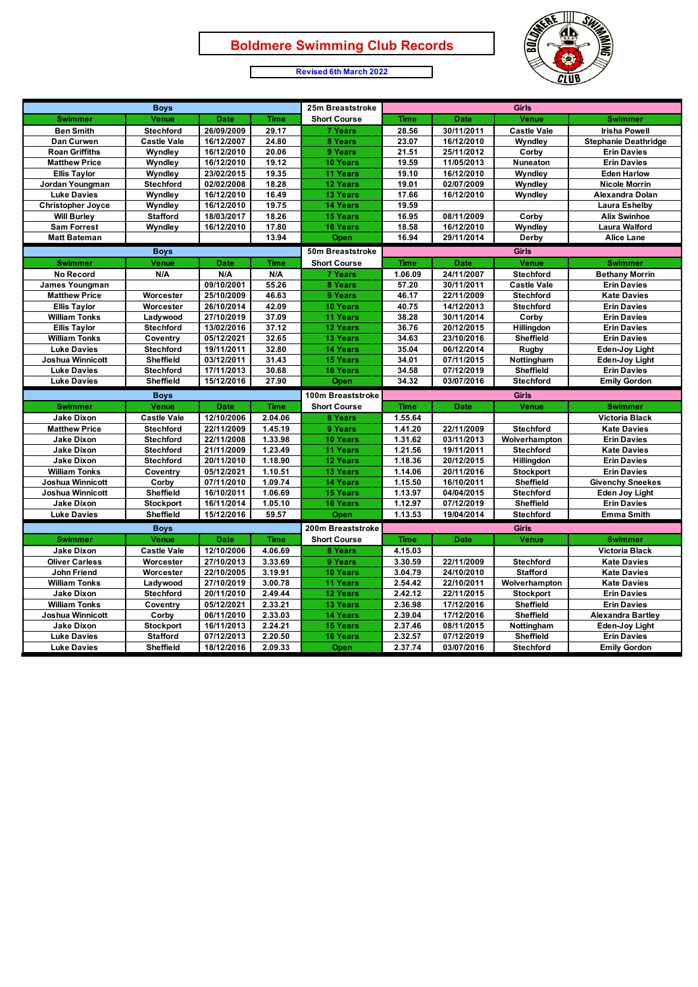

#### **Revised 6th March 2022**

Г

| <b>Boys</b>              |                    |             |             | 25m Breaststroke    | Girls       |             |                    |                             |
|--------------------------|--------------------|-------------|-------------|---------------------|-------------|-------------|--------------------|-----------------------------|
| <b>Swimmer</b>           | Venue              | <b>Date</b> | <b>Time</b> | <b>Short Course</b> | <b>Time</b> | <b>Date</b> | Venue              | <b>Swimmer</b>              |
| <b>Ben Smith</b>         | <b>Stechford</b>   | 26/09/2009  | 29.17       | <b>7 Years</b>      | 28.56       | 30/11/2011  | <b>Castle Vale</b> | <b>Irisha Powell</b>        |
| Dan Curwen               | <b>Castle Vale</b> | 16/12/2007  | 24.80       | 8 Years             | 23.07       | 16/12/2010  | Wyndley            | <b>Stephanie Deathridge</b> |
| <b>Roan Griffiths</b>    | Wyndley            | 16/12/2010  | 20.06       | 9 Years             | 21.51       | 25/11/2012  | Corby              | <b>Erin Davies</b>          |
| <b>Matthew Price</b>     | Wyndley            | 16/12/2010  | 19.12       | <b>10 Years</b>     | 19.59       | 11/05/2013  | Nuneaton           | <b>Erin Davies</b>          |
| <b>Ellis Taylor</b>      | Wyndley            | 23/02/2015  | 19.35       | <b>11 Years</b>     | 19.10       | 16/12/2010  | Wyndley            | <b>Eden Harlow</b>          |
| Jordan Youngman          | <b>Stechford</b>   | 02/02/2008  | 18.28       | 12 Years            | 19.01       | 02/07/2009  | Wyndley            | <b>Nicole Morrin</b>        |
| <b>Luke Davies</b>       | Wyndley            | 16/12/2010  | 16.49       | 13 Years            | 17.66       | 16/12/2010  | Wyndley            | Alexandra Dolan             |
| <b>Christopher Joyce</b> | Wyndley            | 16/12/2010  | 19.75       | 14 Years            | 19.59       |             |                    | <b>Laura Eshelby</b>        |
| <b>Will Burley</b>       | <b>Stafford</b>    | 18/03/2017  | 18.26       | <b>15 Years</b>     | 16.95       | 08/11/2009  | Corby              | <b>Alix Swinhoe</b>         |
| <b>Sam Forrest</b>       | Wyndley            | 16/12/2010  | 17.80       | <b>16 Years</b>     | 18.58       | 16/12/2010  | Wyndley            | Laura Walford               |
| <b>Matt Bateman</b>      |                    |             | 13.94       | Open                | 16.94       | 29/11/2014  | Derby              | <b>Alice Lane</b>           |
|                          | <b>Boys</b>        |             |             | 50m Breaststroke    |             |             | Girls              |                             |
| <b>Swimmer</b>           | Venue              | <b>Date</b> | <b>Time</b> | <b>Short Course</b> | <b>Time</b> | <b>Date</b> | Venue              | <b>Swimmer</b>              |
| No Record                | N/A                | N/A         | N/A         | <b>7 Years</b>      | 1.06.09     | 24/11/2007  | <b>Stechford</b>   | <b>Bethany Morrin</b>       |
| James Youngman           |                    | 09/10/2001  | 55.26       | 8 Years             | 57.20       | 30/11/2011  | <b>Castle Vale</b> | <b>Erin Davies</b>          |
| <b>Matthew Price</b>     | Worcester          | 25/10/2009  | 46.63       | 9 Years             | 46.17       | 22/11/2009  | <b>Stechford</b>   | <b>Kate Davies</b>          |
| <b>Ellis Taylor</b>      | Worcester          | 26/10/2014  | 42.09       | 10 Years            | 40.75       | 14/12/2013  | <b>Stechford</b>   | <b>Erin Davies</b>          |
| <b>William Tonks</b>     | Ladywood           | 27/10/2019  | 37.09       | 11 Years            | 38.28       | 30/11/2014  | Corby              | <b>Erin Davies</b>          |
| <b>Ellis Taylor</b>      | <b>Stechford</b>   | 13/02/2016  | 37.12       | 12 Years            | 36.76       | 20/12/2015  | Hillingdon         | <b>Erin Davies</b>          |
| <b>William Tonks</b>     | Coventry           | 05/12/2021  | 32.65       | 13 Years            | 34.63       | 23/10/2016  | Sheffield          | <b>Erin Davies</b>          |
| <b>Luke Davies</b>       | <b>Stechford</b>   | 19/11/2011  | 32.80       | <b>14 Years</b>     | 35.04       | 06/12/2014  | Rugby              | Eden-Joy Light              |
| Joshua Winnicott         | Sheffield          | 03/12/2011  | 31.43       | <b>15 Years</b>     | 34.01       | 07/11/2015  | Nottingham         | Eden-Joy Light              |
| <b>Luke Davies</b>       | <b>Stechford</b>   | 17/11/2013  | 30.68       | <b>16 Years</b>     | 34.58       | 07/12/2019  | <b>Sheffield</b>   | <b>Erin Davies</b>          |
| <b>Luke Davies</b>       | Sheffield          | 15/12/2016  | 27.90       | Open                | 34.32       | 03/07/2016  | <b>Stechford</b>   | <b>Emily Gordon</b>         |
|                          | <b>Boys</b>        |             |             | 100m Breaststroke   |             |             | Girls              |                             |
| <b>Swimmer</b>           | Venue              | <b>Date</b> | <b>Time</b> | <b>Short Course</b> | <b>Time</b> | <b>Date</b> | Venue              | <b>Swimmer</b>              |
| <b>Jake Dixon</b>        | <b>Castle Vale</b> | 12/10/2006  | 2.04.06     | 8 Years             | 1.55.64     |             |                    | <b>Victoria Black</b>       |
| <b>Matthew Price</b>     | <b>Stechford</b>   | 22/11/2009  | 1.45.19     | 9 Years             | 1.41.20     | 22/11/2009  | <b>Stechford</b>   | <b>Kate Davies</b>          |
| <b>Jake Dixon</b>        | <b>Stechford</b>   | 22/11/2008  | 1.33.98     | 10 Years            | 1.31.62     | 03/11/2013  | Wolverhampton      | <b>Erin Davies</b>          |
| <b>Jake Dixon</b>        | <b>Stechford</b>   | 21/11/2009  | 1.23.49     | 11 Years            | 1.21.56     | 19/11/2011  | <b>Stechford</b>   | <b>Kate Davies</b>          |
| <b>Jake Dixon</b>        | <b>Stechford</b>   | 20/11/2010  | 1.18.90     | 12 Years            | 1.18.36     | 20/12/2015  | Hillingdon         | <b>Erin Davies</b>          |
| <b>William Tonks</b>     | Coventry           | 05/12/2021  | 1.10.51     | <b>13 Years</b>     | 1.14.06     | 20/11/2016  | <b>Stockport</b>   | <b>Erin Davies</b>          |
| Joshua Winnicott         | Corby              | 07/11/2010  | 1.09.74     | <b>14 Years</b>     | 1.15.50     | 16/10/2011  | Sheffield          | <b>Givenchy Sneekes</b>     |
| <b>Joshua Winnicott</b>  | <b>Sheffield</b>   | 16/10/2011  | 1.06.69     | <b>15 Years</b>     | 1.13.97     | 04/04/2015  | <b>Stechford</b>   | Eden Joy Light              |
| <b>Jake Dixon</b>        | <b>Stockport</b>   | 16/11/2014  | 1.05.10     | <b>16 Years</b>     | 1.12.97     | 07/12/2019  | Sheffield          | <b>Erin Davies</b>          |
| <b>Luke Davies</b>       | Sheffield          | 15/12/2016  | 59.57       | Open                | 1.13.53     | 19/04/2014  | <b>Stechford</b>   | <b>Emma Smith</b>           |
|                          | <b>Boys</b>        |             |             | 200m Breaststroke   |             |             | Girls              |                             |
| <b>Swimmer</b>           | <b>Venue</b>       | <b>Date</b> | <b>Time</b> | <b>Short Course</b> | <b>Time</b> | <b>Date</b> | Venue              | <b>Swimmer</b>              |
| <b>Jake Dixon</b>        | <b>Castle Vale</b> | 12/10/2006  | 4.06.69     | 8 Years             | 4.15.03     |             |                    | Victoria Black              |
| <b>Oliver Carless</b>    | Worcester          | 27/10/2013  | 3.33.69     | 9 Years             | 3.30.59     | 22/11/2009  | <b>Stechford</b>   | <b>Kate Davies</b>          |
| John Friend              | Worcester          | 22/10/2005  | 3.19.91     | 10 Years            | 3.04.79     | 24/10/2010  | <b>Stafford</b>    | <b>Kate Davies</b>          |
| <b>William Tonks</b>     | Ladywood           | 27/10/2019  | 3.00.78     | <b>11 Years</b>     | 2.54.42     | 22/10/2011  | Wolverhampton      | <b>Kate Davies</b>          |
| <b>Jake Dixon</b>        | <b>Stechford</b>   | 20/11/2010  | 2.49.44     | 12 Years            | 2.42.12     | 22/11/2015  | <b>Stockport</b>   | <b>Erin Davies</b>          |
| <b>William Tonks</b>     | Coventry           | 05/12/2021  | 2.33.21     | <b>13 Years</b>     | 2.36.98     | 17/12/2016  | Sheffield          | <b>Erin Davies</b>          |
| Joshua Winnicott         | Corby              | 06/11/2010  | 2.33.03     | 14 Years            | 2.39.04     | 17/12/2016  | Sheffield          | <b>Alexandra Bartley</b>    |
| <b>Jake Dixon</b>        | <b>Stockport</b>   | 16/11/2013  | 2.24.21     | <b>15 Years</b>     | 2.37.46     | 08/11/2015  | Nottingham         | <b>Eden-Joy Light</b>       |
| <b>Luke Davies</b>       | <b>Stafford</b>    | 07/12/2013  | 2.20.50     | <b>16 Years</b>     | 2.32.57     | 07/12/2019  | Sheffield          | <b>Erin Davies</b>          |
| <b>Luke Davies</b>       | Sheffield          | 18/12/2016  | 2.09.33     | Open                | 2.37.74     | 03/07/2016  | <b>Stechford</b>   | <b>Emily Gordon</b>         |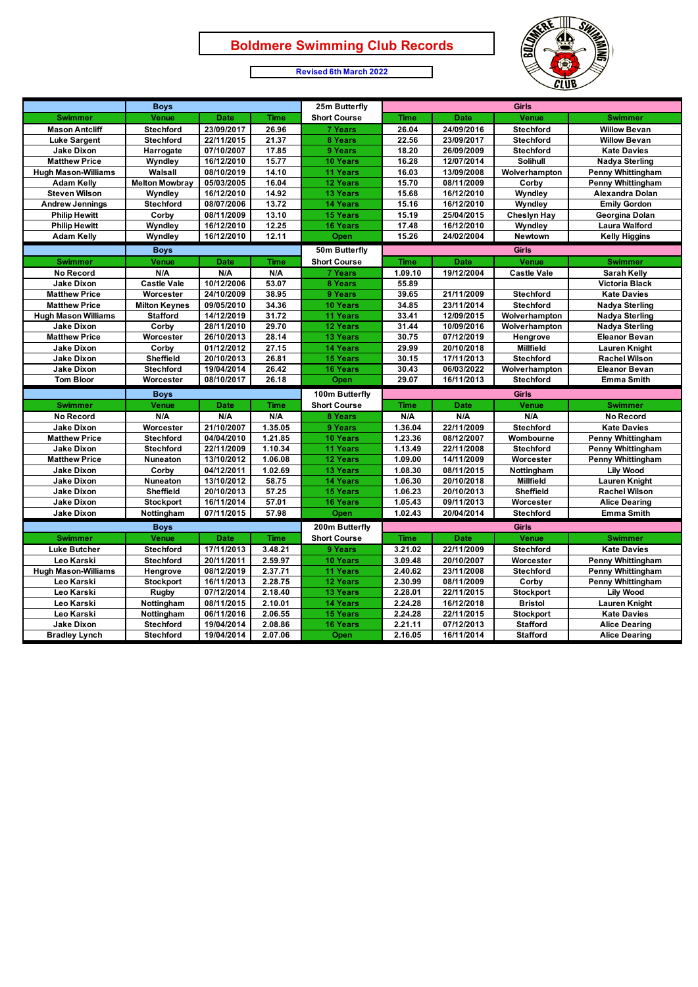$\mathsf{r}$ 





|                            | <b>Boys</b>           |             |             | 25m Butterfly       | <b>Girls</b> |             |                    |                          |
|----------------------------|-----------------------|-------------|-------------|---------------------|--------------|-------------|--------------------|--------------------------|
| <b>Swimmer</b>             | Venue                 | <b>Date</b> | <b>Time</b> | <b>Short Course</b> | <b>Time</b>  | Date        | <b>Venue</b>       | <b>Swimmer</b>           |
| <b>Mason Antcliff</b>      | <b>Stechford</b>      | 23/09/2017  | 26.96       | <b>7 Years</b>      | 26.04        | 24/09/2016  | <b>Stechford</b>   | <b>Willow Bevan</b>      |
| <b>Luke Sargent</b>        | <b>Stechford</b>      | 22/11/2015  | 21.37       | 8 Years             | 22.56        | 23/09/2017  | <b>Stechford</b>   | <b>Willow Bevan</b>      |
| <b>Jake Dixon</b>          | Harrogate             | 07/10/2007  | 17.85       | 9 Years             | 18.20        | 26/09/2009  | <b>Stechford</b>   | <b>Kate Davies</b>       |
| <b>Matthew Price</b>       | Wyndley               | 16/12/2010  | 15.77       | 10 Years            | 16.28        | 12/07/2014  | Solihull           | <b>Nadya Sterling</b>    |
| <b>Hugh Mason-Williams</b> | Walsall               | 08/10/2019  | 14.10       | 11 Years            | 16.03        | 13/09/2008  | Wolverhampton      | <b>Penny Whittingham</b> |
| <b>Adam Kelly</b>          | <b>Melton Mowbray</b> | 05/03/2005  | 16.04       | 12 Years            | 15.70        | 08/11/2009  | Corby              | <b>Penny Whittingham</b> |
| <b>Steven Wilson</b>       | Wyndley               | 16/12/2010  | 14.92       | <b>13 Years</b>     | 15.68        | 16/12/2010  | Wyndley            | Alexandra Dolan          |
| <b>Andrew Jennings</b>     | <b>Stechford</b>      | 08/07/2006  | 13.72       | <b>14 Years</b>     | 15.16        | 16/12/2010  | Wyndley            | <b>Emily Gordon</b>      |
| <b>Philip Hewitt</b>       | Corby                 | 08/11/2009  | 13.10       | <b>15 Years</b>     | 15.19        | 25/04/2015  | <b>Cheslyn Hay</b> | Georgina Dolan           |
| <b>Philip Hewitt</b>       | Wyndley               | 16/12/2010  | 12.25       | <b>16 Years</b>     | 17.48        | 16/12/2010  | Wyndley            | <b>Laura Walford</b>     |
| <b>Adam Kelly</b>          | Wyndley               | 16/12/2010  | 12.11       | Open                | 15.26        | 24/02/2004  | Newtown            | <b>Kelly Higgins</b>     |
|                            | <b>Boys</b>           |             |             | 50m Butterfly       |              |             | <b>Girls</b>       |                          |
| <b>Swimmer</b>             | <b>Venue</b>          | <b>Date</b> | <b>Time</b> | <b>Short Course</b> | <b>Time</b>  | <b>Date</b> | <b>Venue</b>       | <b>Swimmer</b>           |
| <b>No Record</b>           | N/A                   | N/A         | N/A         | <b>7 Years</b>      | 1.09.10      | 19/12/2004  | <b>Castle Vale</b> | <b>Sarah Kelly</b>       |
| <b>Jake Dixon</b>          | <b>Castle Vale</b>    | 10/12/2006  | 53.07       | 8 Years             | 55.89        |             |                    | <b>Victoria Black</b>    |
| <b>Matthew Price</b>       | Worcester             | 24/10/2009  | 38.95       | 9 Years             | 39.65        | 21/11/2009  | <b>Stechford</b>   | <b>Kate Davies</b>       |
| <b>Matthew Price</b>       | <b>Milton Keynes</b>  | 09/05/2010  | 34.36       | 10 Years            | 34.85        | 23/11/2014  | <b>Stechford</b>   | <b>Nadya Sterling</b>    |
| <b>Hugh Mason Williams</b> | <b>Stafford</b>       | 14/12/2019  | 31.72       | 11 Years            | 33.41        | 12/09/2015  | Wolverhampton      | <b>Nadya Sterling</b>    |
| <b>Jake Dixon</b>          | Corby                 | 28/11/2010  | 29.70       | 12 Years            | 31.44        | 10/09/2016  | Wolverhampton      | <b>Nadya Sterling</b>    |
| <b>Matthew Price</b>       | Worcester             | 26/10/2013  | 28.14       | <b>13 Years</b>     | 30.75        | 07/12/2019  | Hengrove           | <b>Eleanor Bevan</b>     |
| <b>Jake Dixon</b>          | Corby                 | 01/12/2012  | 27.15       | <b>14 Years</b>     | 29.99        | 20/10/2018  | <b>Millfield</b>   | <b>Lauren Knight</b>     |
| <b>Jake Dixon</b>          | <b>Sheffield</b>      | 20/10/2013  | 26.81       | <b>15 Years</b>     | 30.15        | 17/11/2013  | <b>Stechford</b>   | <b>Rachel Wilson</b>     |
| <b>Jake Dixon</b>          | <b>Stechford</b>      | 19/04/2014  | 26.42       | <b>16 Years</b>     | 30.43        | 06/03/2022  | Wolverhampton      | <b>Eleanor Bevan</b>     |
| <b>Tom Bloor</b>           | Worcester             | 08/10/2017  | 26.18       | Open                | 29.07        | 16/11/2013  | Stechford          | <b>Emma Smith</b>        |
|                            | <b>Boys</b>           |             |             | 100m Butterfly      |              |             | <b>Girls</b>       |                          |
| <b>Swimmer</b>             | Venue                 | <b>Date</b> | <b>Time</b> | <b>Short Course</b> | <b>Time</b>  | <b>Date</b> | <b>Venue</b>       | <b>Swimmer</b>           |
| No Record                  | N/A                   | N/A         | N/A         | 8 Years             | N/A          | N/A         | N/A                | <b>No Record</b>         |
| <b>Jake Dixon</b>          | Worcester             | 21/10/2007  | 1.35.05     | 9 Years             | 1.36.04      | 22/11/2009  | <b>Stechford</b>   | <b>Kate Davies</b>       |
| <b>Matthew Price</b>       | <b>Stechford</b>      | 04/04/2010  | 1.21.85     | 10 Years            | 1.23.36      | 08/12/2007  | Wombourne          | <b>Penny Whittingham</b> |
| <b>Jake Dixon</b>          | <b>Stechford</b>      | 22/11/2009  | 1.10.34     | 11 Years            | 1.13.49      | 22/11/2008  | <b>Stechford</b>   | <b>Penny Whittingham</b> |
| <b>Matthew Price</b>       | Nuneaton              | 13/10/2012  | 1.06.08     | 12 Years            | 1.09.00      | 14/11/2009  | Worcester          | <b>Penny Whittingham</b> |
| <b>Jake Dixon</b>          | Corby                 | 04/12/2011  | 1.02.69     | <b>13 Years</b>     | 1.08.30      | 08/11/2015  | Nottingham         | <b>Lily Wood</b>         |
| <b>Jake Dixon</b>          | Nuneaton              | 13/10/2012  | 58.75       | <b>14 Years</b>     | 1.06.30      | 20/10/2018  | <b>Millfield</b>   | <b>Lauren Knight</b>     |
| <b>Jake Dixon</b>          | Sheffield             | 20/10/2013  | 57.25       | <b>15 Years</b>     | 1.06.23      | 20/10/2013  | Sheffield          | <b>Rachel Wilson</b>     |
| Jake Dixon                 | <b>Stockport</b>      | 16/11/2014  | 57.01       | <b>16 Years</b>     | 1.05.43      | 09/11/2013  | Worcester          | <b>Alice Dearing</b>     |
| <b>Jake Dixon</b>          | Nottingham            | 07/11/2015  | 57.98       | Open                | 1.02.43      | 20/04/2014  | <b>Stechford</b>   | <b>Emma Smith</b>        |
|                            | <b>Boys</b>           |             |             | 200m Butterfly      |              |             | <b>Girls</b>       |                          |
| <b>Swimmer</b>             | <b>Venue</b>          | <b>Date</b> | <b>Time</b> | <b>Short Course</b> | <b>Time</b>  | <b>Date</b> | <b>Venue</b>       | <b>Swimmer</b>           |
| <b>Luke Butcher</b>        | <b>Stechford</b>      | 17/11/2013  | 3.48.21     | 9 Years             | 3.21.02      | 22/11/2009  | <b>Stechford</b>   | <b>Kate Davies</b>       |
| Leo Karski                 | <b>Stechford</b>      | 20/11/2011  | 2.59.97     | 10 Years            | 3.09.48      | 20/10/2007  | Worcester          | <b>Penny Whittingham</b> |
| <b>Hugh Mason-Williams</b> | Hengrove              | 08/12/2019  | 2.37.71     | 11 Years            | 2.40.62      | 23/11/2008  | <b>Stechford</b>   | Penny Whittingham        |
| Leo Karski                 | <b>Stockport</b>      | 16/11/2013  | 2.28.75     | 12 Years            | 2.30.99      | 08/11/2009  | Corby              | <b>Penny Whittingham</b> |
| Leo Karski                 | Rugby                 | 07/12/2014  | 2.18.40     | 13 Years            | 2.28.01      | 22/11/2015  | <b>Stockport</b>   | <b>Lily Wood</b>         |
| Leo Karski                 | Nottingham            | 08/11/2015  | 2.10.01     | 14 Years            | 2.24.28      | 16/12/2018  | <b>Bristol</b>     | <b>Lauren Knight</b>     |
| Leo Karski                 | Nottingham            | 06/11/2016  | 2.06.55     | <b>15 Years</b>     | 2.24.28      | 22/11/2015  | <b>Stockport</b>   | <b>Kate Davies</b>       |
| <b>Jake Dixon</b>          | <b>Stechford</b>      | 19/04/2014  | 2.08.86     | <b>16 Years</b>     | 2.21.11      | 07/12/2013  | <b>Stafford</b>    | <b>Alice Dearing</b>     |
| <b>Bradley Lynch</b>       | <b>Stechford</b>      | 19/04/2014  | 2.07.06     | Open                | 2.16.05      | 16/11/2014  | <b>Stafford</b>    | <b>Alice Dearing</b>     |